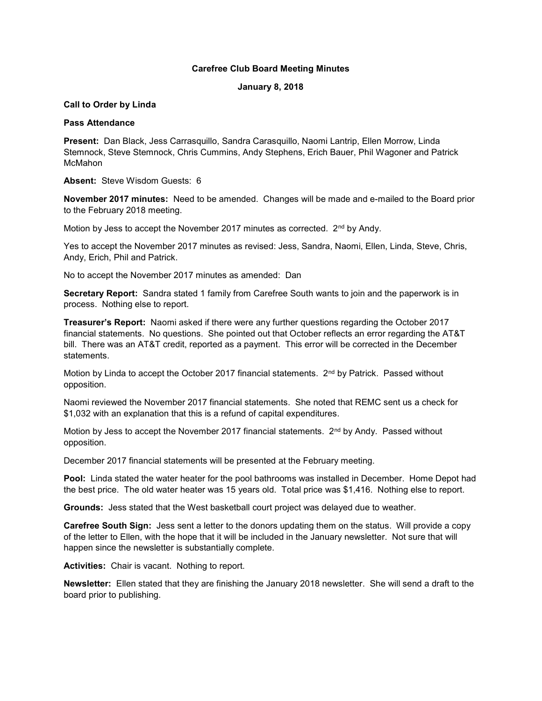# Carefree Club Board Meeting Minutes

## January 8, 2018

# Call to Order by Linda

## Pass Attendance

Present: Dan Black, Jess Carrasquillo, Sandra Carasquillo, Naomi Lantrip, Ellen Morrow, Linda Stemnock, Steve Stemnock, Chris Cummins, Andy Stephens, Erich Bauer, Phil Wagoner and Patrick McMahon

Absent: Steve Wisdom Guests: 6

November 2017 minutes: Need to be amended. Changes will be made and e-mailed to the Board prior to the February 2018 meeting.

Motion by Jess to accept the November 2017 minutes as corrected. 2<sup>nd</sup> by Andy.

Yes to accept the November 2017 minutes as revised: Jess, Sandra, Naomi, Ellen, Linda, Steve, Chris, Andy, Erich, Phil and Patrick.

No to accept the November 2017 minutes as amended: Dan

Secretary Report: Sandra stated 1 family from Carefree South wants to join and the paperwork is in process. Nothing else to report.

Treasurer's Report: Naomi asked if there were any further questions regarding the October 2017 financial statements. No questions. She pointed out that October reflects an error regarding the AT&T bill. There was an AT&T credit, reported as a payment. This error will be corrected in the December statements.

Motion by Linda to accept the October 2017 financial statements. 2<sup>nd</sup> by Patrick. Passed without opposition.

Naomi reviewed the November 2017 financial statements. She noted that REMC sent us a check for \$1,032 with an explanation that this is a refund of capital expenditures.

Motion by Jess to accept the November 2017 financial statements. 2<sup>nd</sup> by Andy. Passed without opposition.

December 2017 financial statements will be presented at the February meeting.

Pool: Linda stated the water heater for the pool bathrooms was installed in December. Home Depot had the best price. The old water heater was 15 years old. Total price was \$1,416. Nothing else to report.

Grounds: Jess stated that the West basketball court project was delayed due to weather.

Carefree South Sign: Jess sent a letter to the donors updating them on the status. Will provide a copy of the letter to Ellen, with the hope that it will be included in the January newsletter. Not sure that will happen since the newsletter is substantially complete.

Activities: Chair is vacant. Nothing to report.

Newsletter: Ellen stated that they are finishing the January 2018 newsletter. She will send a draft to the board prior to publishing.